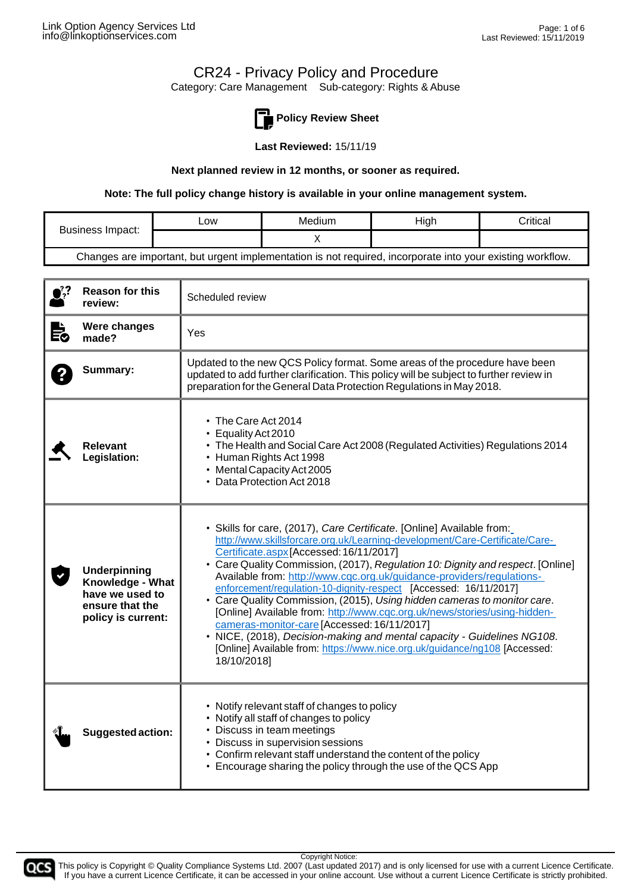Category: Care Management Sub-category: Rights & Abuse



**Last Reviewed:** 15/11/19

#### **Next planned review in 12 months, or sooner as required.**

**Note: The full policy change history is available in your online management system.**

| Business Impact:                                                                                           | ∟OW | Medium | High | Critical |
|------------------------------------------------------------------------------------------------------------|-----|--------|------|----------|
|                                                                                                            |     |        |      |          |
| Changes are important, but urgent implementation is not required, incorporate into your existing workflow. |     |        |      |          |

| $\bullet$ ? | <b>Reason for this</b><br>review:                                                                   | Scheduled review                                                                                                                                                                                                                                                                                                                                                                                                                                                                                                                                                                                                                                                                                                                                                                                                |  |
|-------------|-----------------------------------------------------------------------------------------------------|-----------------------------------------------------------------------------------------------------------------------------------------------------------------------------------------------------------------------------------------------------------------------------------------------------------------------------------------------------------------------------------------------------------------------------------------------------------------------------------------------------------------------------------------------------------------------------------------------------------------------------------------------------------------------------------------------------------------------------------------------------------------------------------------------------------------|--|
| 륺           | Were changes<br>made?                                                                               | Yes                                                                                                                                                                                                                                                                                                                                                                                                                                                                                                                                                                                                                                                                                                                                                                                                             |  |
|             | Summary:                                                                                            | Updated to the new QCS Policy format. Some areas of the procedure have been<br>updated to add further clarification. This policy will be subject to further review in<br>preparation for the General Data Protection Regulations in May 2018.                                                                                                                                                                                                                                                                                                                                                                                                                                                                                                                                                                   |  |
|             | Relevant<br>Legislation:                                                                            | • The Care Act 2014<br>• Equality Act 2010<br>• The Health and Social Care Act 2008 (Regulated Activities) Regulations 2014<br>• Human Rights Act 1998<br>• Mental Capacity Act 2005<br>• Data Protection Act 2018                                                                                                                                                                                                                                                                                                                                                                                                                                                                                                                                                                                              |  |
|             | <b>Underpinning</b><br>Knowledge - What<br>have we used to<br>ensure that the<br>policy is current: | • Skills for care, (2017), Care Certificate. [Online] Available from:<br>http://www.skillsforcare.org.uk/Learning-development/Care-Certificate/Care-<br>Certificate.aspx [Accessed: 16/11/2017]<br>• Care Quality Commission, (2017), Regulation 10: Dignity and respect. [Online]<br>Available from: http://www.cqc.org.uk/guidance-providers/regulations-<br>enforcement/regulation-10-dignity-respect [Accessed: 16/11/2017]<br>• Care Quality Commission, (2015), Using hidden cameras to monitor care.<br>[Online] Available from: http://www.cqc.org.uk/news/stories/using-hidden-<br>cameras-monitor-care [Accessed: 16/11/2017]<br>• NICE, (2018), Decision-making and mental capacity - Guidelines NG108.<br>[Online] Available from: https://www.nice.org.uk/guidance/ng108 [Accessed:<br>18/10/2018] |  |
|             | Suggested action:                                                                                   | • Notify relevant staff of changes to policy<br>• Notify all staff of changes to policy<br>• Discuss in team meetings<br>• Discuss in supervision sessions<br>• Confirm relevant staff understand the content of the policy<br>• Encourage sharing the policy through the use of the QCS App                                                                                                                                                                                                                                                                                                                                                                                                                                                                                                                    |  |



Copyright Notice: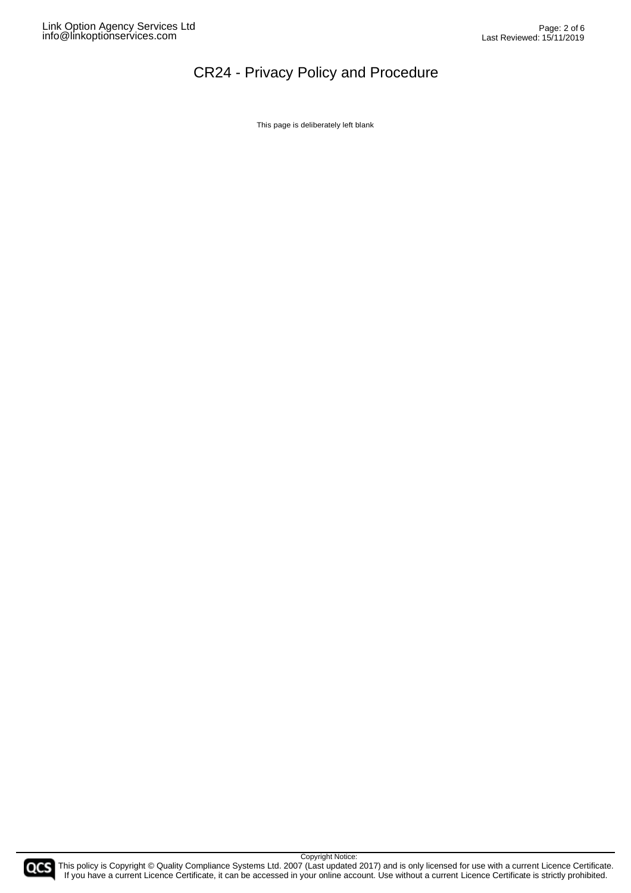This page is deliberately left blank



Copyright Notice: This policy is Copyright © Quality Compliance Systems Ltd. 2007 (Last updated 2017) and is only licensed for use with a current Licence Certificate. If you have a current Licence Certificate, it can be accessed in your online account. Use without a current Licence Certificate is strictly prohibited.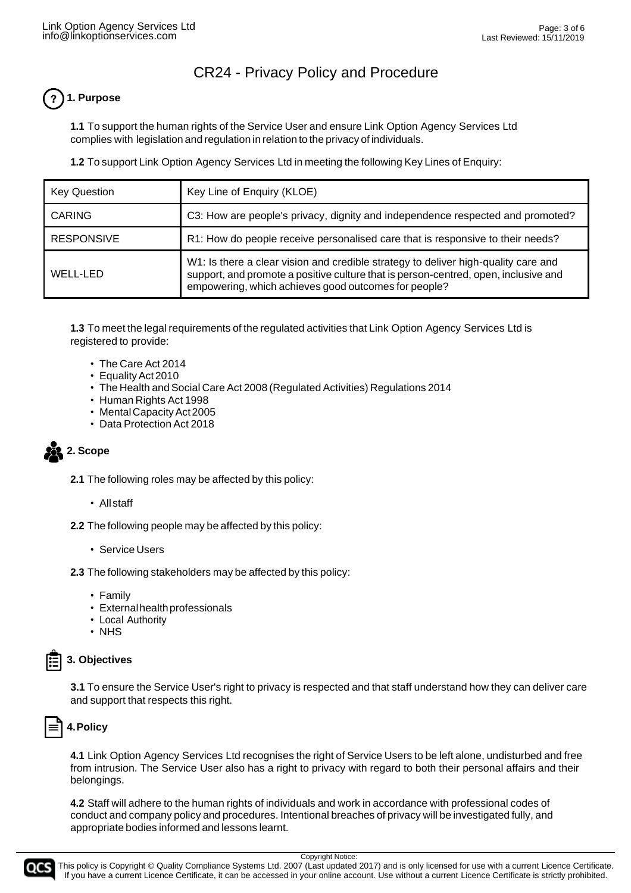# **1. Purpose**

**1.1** To support the human rights of the Service User and ensure Link Option Agency Services Ltd complies with legislation and regulation in relation to the privacy of individuals.

**1.2** To support Link Option Agency Services Ltd in meeting the following Key Lines of Enquiry:

| <b>Key Question</b> | Key Line of Enquiry (KLOE)                                                                                                                                                                                                        |  |
|---------------------|-----------------------------------------------------------------------------------------------------------------------------------------------------------------------------------------------------------------------------------|--|
| <b>CARING</b>       | C3: How are people's privacy, dignity and independence respected and promoted?                                                                                                                                                    |  |
| <b>RESPONSIVE</b>   | R1: How do people receive personalised care that is responsive to their needs?                                                                                                                                                    |  |
| WFI I -I FD         | W1: Is there a clear vision and credible strategy to deliver high-quality care and<br>support, and promote a positive culture that is person-centred, open, inclusive and<br>empowering, which achieves good outcomes for people? |  |

**1.3** To meet the legal requirements of the regulated activities that Link Option Agency Services Ltd is registered to provide:

- The Care Act 2014
- Equality Act 2010
- The Health and Social Care Act 2008 (Regulated Activities) Regulations 2014
- Human Rights Act 1998
- Mental Capacity Act 2005
- Data Protection Act 2018

## **2. Scope**

**2.1** The following roles may be affected by this policy:

• All staff

- **2.2** The following people may be affected by this policy:
	- Service Users
- **2.3** The following stakeholders may be affected by this policy:
	- Family
	- Externalhealthprofessionals
	- Local Authority
	- NHS

### **3. Objectives**

**3.1** To ensure the Service User's right to privacy is respected and that staff understand how they can deliver care and support that respects this right.



**4.1** Link Option Agency Services Ltd recognises the right of Service Users to be left alone, undisturbed and free from intrusion. The Service User also has a right to privacy with regard to both their personal affairs and their belongings.

**4.2** Staff will adhere to the human rights of individuals and work in accordance with professional codes of conduct and company policy and procedures. Intentional breaches of privacy will be investigated fully, and appropriate bodies informed and lessons learnt.



Copyright Notice:

This policy is Copyright © Quality Compliance Systems Ltd. 2007 (Last updated 2017) and is only licensed for use with a current Licence Certificate. If you have a current Licence Certificate, it can be accessed in your online account. Use without a current Licence Certificate is strictly prohibited.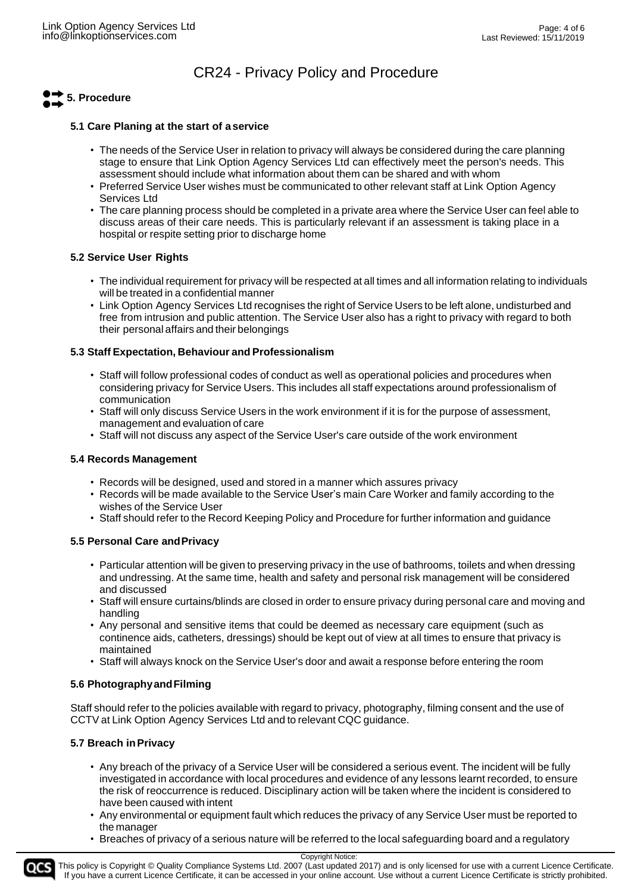# **5. Procedure**

#### **5.1 Care Planing at the start of aservice**

- The needs of the Service User in relation to privacy will always be considered during the care planning stage to ensure that Link Option Agency Services Ltd can effectively meet the person's needs. This assessment should include what information about them can be shared and with whom
- Preferred Service User wishes must be communicated to other relevant staff at Link Option Agency Services Ltd
- The care planning process should be completed in a private area where the Service User can feel able to discuss areas of their care needs. This is particularly relevant if an assessment is taking place in a hospital or respite setting prior to discharge home

#### **5.2 Service User Rights**

- The individual requirement for privacy will be respected at all times and all information relating to individuals will be treated in a confidential manner
- Link Option Agency Services Ltd recognises the right of Service Users to be left alone, undisturbed and free from intrusion and public attention. The Service User also has a right to privacy with regard to both their personal affairs and their belongings

#### **5.3 Staff Expectation, Behaviour and Professionalism**

- Staff will follow professional codes of conduct as well as operational policies and procedures when considering privacy for Service Users. This includes all staff expectations around professionalism of communication
- Staff will only discuss Service Users in the work environment if it is for the purpose of assessment, management and evaluation of care
- Staff will not discuss any aspect of the Service User's care outside of the work environment

#### **5.4 Records Management**

- Records will be designed, used and stored in a manner which assures privacy
- Records will be made available to the Service User's main Care Worker and family according to the wishes of the Service User
- Staff should refer to the Record Keeping Policy and Procedure for further information and guidance

#### **5.5 Personal Care andPrivacy**

- Particular attention will be given to preserving privacy in the use of bathrooms, toilets and when dressing and undressing. At the same time, health and safety and personal risk management will be considered and discussed
- Staff will ensure curtains/blinds are closed in order to ensure privacy during personal care and moving and handling
- Any personal and sensitive items that could be deemed as necessary care equipment (such as continence aids, catheters, dressings) should be kept out of view at all times to ensure that privacy is maintained
- Staff will always knock on the Service User's door and await a response before entering the room

#### **5.6 PhotographyandFilming**

Staff should refer to the policies available with regard to privacy, photography, filming consent and the use of CCTV at Link Option Agency Services Ltd and to relevant CQC guidance.

#### **5.7 Breach inPrivacy**

- Any breach of the privacy of a Service User will be considered a serious event. The incident will be fully investigated in accordance with local procedures and evidence of any lessons learnt recorded, to ensure the risk of reoccurrence is reduced. Disciplinary action will be taken where the incident is considered to have been caused with intent
- Any environmental or equipment fault which reduces the privacy of any Service User must be reported to the manager
- Breaches of privacy of a serious nature will be referred to the local safeguarding board and a regulatory

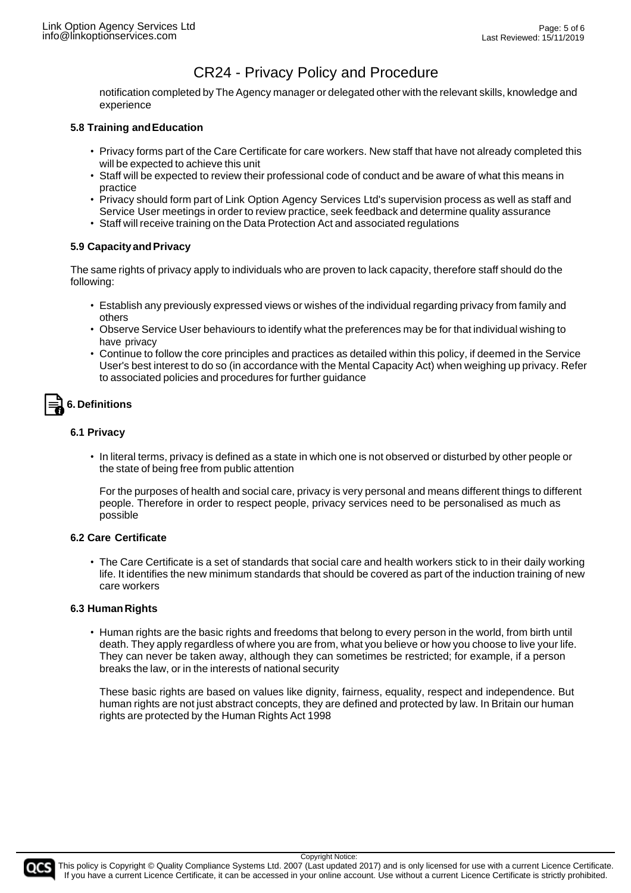notification completed by The Agency manager or delegated other with the relevant skills, knowledge and experience

#### **5.8 Training andEducation**

- Privacy forms part of the Care Certificate for care workers. New staff that have not already completed this will be expected to achieve this unit
- Staff will be expected to review their professional code of conduct and be aware of what this means in practice
- Privacy should form part of Link Option Agency Services Ltd's supervision process as well as staff and Service User meetings in order to review practice, seek feedback and determine quality assurance
- Staff will receive training on the Data Protection Act and associated regulations

#### **5.9 CapacityandPrivacy**

The same rights of privacy apply to individuals who are proven to lack capacity, therefore staff should do the following:

- Establish any previously expressed views or wishes of the individual regarding privacy from family and others
- Observe Service User behaviours to identify what the preferences may be for that individual wishing to have privacy
- Continue to follow the core principles and practices as detailed within this policy, if deemed in the Service User's best interest to do so (in accordance with the Mental Capacity Act) when weighing up privacy. Refer to associated policies and procedures for further guidance

## **6. Definitions**

#### **6.1 Privacy**

• In literal terms, privacy is defined as a state in which one is not observed or disturbed by other people or the state of being free from public attention

For the purposes of health and social care, privacy is very personal and means different things to different people. Therefore in order to respect people, privacy services need to be personalised as much as possible

#### **6.2 Care Certificate**

• The Care Certificate is a set of standards that social care and health workers stick to in their daily working life. It identifies the new minimum standards that should be covered as part of the induction training of new care workers

#### **6.3 HumanRights**

• Human rights are the basic rights and freedoms that belong to every person in the world, from birth until death. They apply regardless of where you are from, what you believe or how you choose to live your life. They can never be taken away, although they can sometimes be restricted; for example, if a person breaks the law, or in the interests of national security

These basic rights are based on values like dignity, fairness, equality, respect and independence. But human rights are not just abstract concepts, they are defined and protected by law. In Britain our human rights are protected by the Human Rights Act 1998